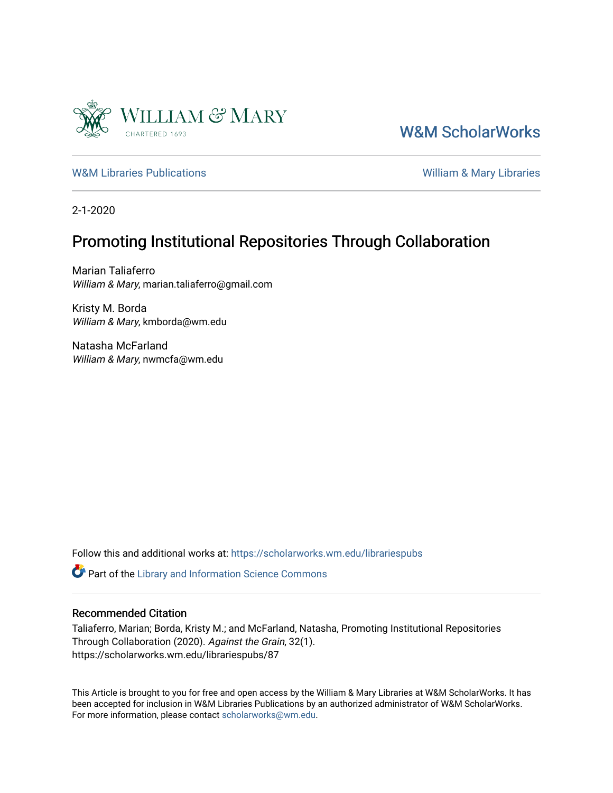

[W&M ScholarWorks](https://scholarworks.wm.edu/) 

[W&M Libraries Publications](https://scholarworks.wm.edu/librariespubs) **William & Mary Libraries** William & Mary Libraries

2-1-2020

# Promoting Institutional Repositories Through Collaboration

Marian Taliaferro William & Mary, marian.taliaferro@gmail.com

Kristy M. Borda William & Mary, kmborda@wm.edu

Natasha McFarland William & Mary, nwmcfa@wm.edu

Follow this and additional works at: [https://scholarworks.wm.edu/librariespubs](https://scholarworks.wm.edu/librariespubs?utm_source=scholarworks.wm.edu%2Flibrariespubs%2F87&utm_medium=PDF&utm_campaign=PDFCoverPages)

Part of the [Library and Information Science Commons](http://network.bepress.com/hgg/discipline/1018?utm_source=scholarworks.wm.edu%2Flibrariespubs%2F87&utm_medium=PDF&utm_campaign=PDFCoverPages) 

#### Recommended Citation

Taliaferro, Marian; Borda, Kristy M.; and McFarland, Natasha, Promoting Institutional Repositories Through Collaboration (2020). Against the Grain, 32(1). https://scholarworks.wm.edu/librariespubs/87

This Article is brought to you for free and open access by the William & Mary Libraries at W&M ScholarWorks. It has been accepted for inclusion in W&M Libraries Publications by an authorized administrator of W&M ScholarWorks. For more information, please contact [scholarworks@wm.edu](mailto:scholarworks@wm.edu).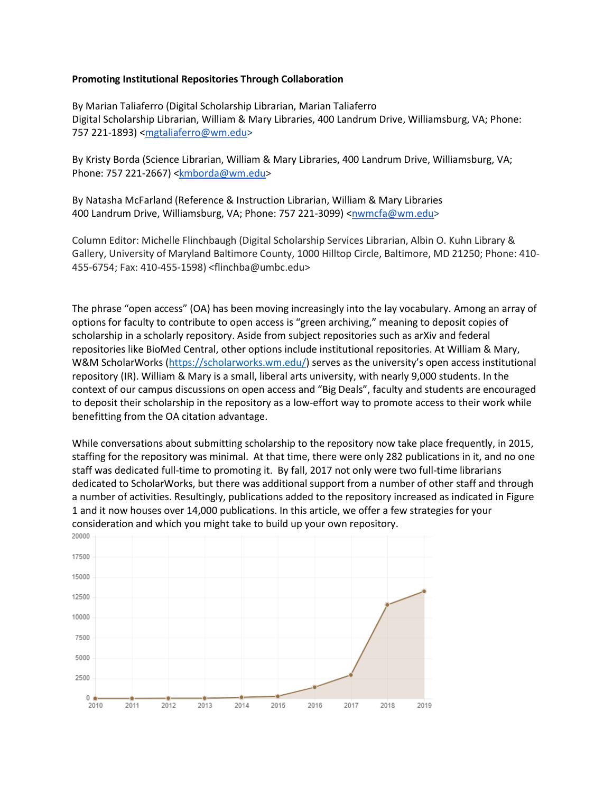#### **Promoting Institutional Repositories Through Collaboration**

By Marian Taliaferro (Digital Scholarship Librarian, Marian Taliaferro Digital Scholarship Librarian, William & Mary Libraries, 400 Landrum Drive, Williamsburg, VA; Phone: 757 221-1893) [<mgtaliaferro@wm.edu>](mailto:mgtaliaferro@wm.edu)

By Kristy Borda (Science Librarian, William & Mary Libraries, 400 Landrum Drive, Williamsburg, VA; Phone: 757 221-2667) [<kmborda@wm.edu>](mailto:kmborda@wm.edu)

By Natasha McFarland (Reference & Instruction Librarian, William & Mary Libraries 400 Landrum Drive, Williamsburg, VA; Phone: 757 221-3099) [<nwmcfa@wm.edu>](mailto:nwmcfa@wm.edu)

Column Editor: Michelle Flinchbaugh (Digital Scholarship Services Librarian, Albin O. Kuhn Library & Gallery, University of Maryland Baltimore County, 1000 Hilltop Circle, Baltimore, MD 21250; Phone: 410- 455-6754; Fax: 410-455-1598) <flinchba@umbc.edu>

The phrase "open access" (OA) has been moving increasingly into the lay vocabulary. Among an array of options for faculty to contribute to open access is "green archiving," meaning to deposit copies of scholarship in a scholarly repository. Aside from subject repositories such as arXiv and federal repositories like BioMed Central, other options include institutional repositories. At William & Mary, W&M ScholarWorks [\(https://scholarworks.wm.edu/](https://scholarworks.wm.edu/)) serves as the university's open access institutional repository (IR). William & Mary is a small, liberal arts university, with nearly 9,000 students. In the context of our campus discussions on open access and "Big Deals", faculty and students are encouraged to deposit their scholarship in the repository as a low-effort way to promote access to their work while benefitting from the OA citation advantage.

While conversations about submitting scholarship to the repository now take place frequently, in 2015, staffing for the repository was minimal. At that time, there were only 282 publications in it, and no one staff was dedicated full-time to promoting it. By fall, 2017 not only were two full-time librarians dedicated to ScholarWorks, but there was additional support from a number of other staff and through a number of activities. Resultingly, publications added to the repository increased as indicated in Figure 1 and it now houses over 14,000 publications. In this article, we offer a few strategies for your consideration and which you might take to build up your own repository.

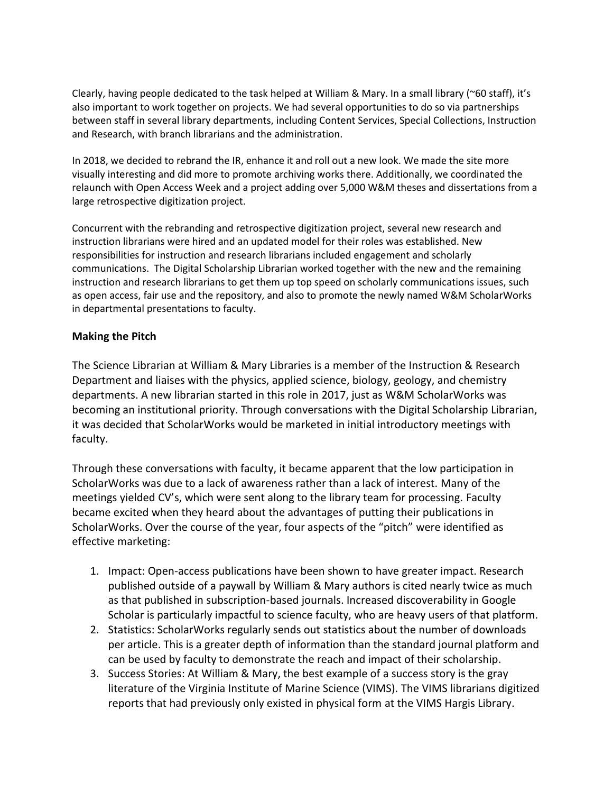Clearly, having people dedicated to the task helped at William & Mary. In a small library (~60 staff), it's also important to work together on projects. We had several opportunities to do so via partnerships between staff in several library departments, including Content Services, Special Collections, Instruction and Research, with branch librarians and the administration.

In 2018, we decided to rebrand the IR, enhance it and roll out a new look. We made the site more visually interesting and did more to promote archiving works there. Additionally, we coordinated the relaunch with Open Access Week and a project adding over 5,000 W&M theses and dissertations from a large retrospective digitization project.

Concurrent with the rebranding and retrospective digitization project, several new research and instruction librarians were hired and an updated model for their roles was established. New responsibilities for instruction and research librarians included engagement and scholarly communications. The Digital Scholarship Librarian worked together with the new and the remaining instruction and research librarians to get them up top speed on scholarly communications issues, such as open access, fair use and the repository, and also to promote the newly named W&M ScholarWorks in departmental presentations to faculty.

# **Making the Pitch**

The Science Librarian at William & Mary Libraries is a member of the Instruction & Research Department and liaises with the physics, applied science, biology, geology, and chemistry departments. A new librarian started in this role in 2017, just as W&M ScholarWorks was becoming an institutional priority. Through conversations with the Digital Scholarship Librarian, it was decided that ScholarWorks would be marketed in initial introductory meetings with faculty.

Through these conversations with faculty, it became apparent that the low participation in ScholarWorks was due to a lack of awareness rather than a lack of interest. Many of the meetings yielded CV's, which were sent along to the library team for processing. Faculty became excited when they heard about the advantages of putting their publications in ScholarWorks. Over the course of the year, four aspects of the "pitch" were identified as effective marketing:

- 1. Impact: Open-access publications have been shown to have greater impact. Research published outside of a paywall by William & Mary authors is cited nearly twice as much as that published in subscription-based journals. Increased discoverability in Google Scholar is particularly impactful to science faculty, who are heavy users of that platform.
- 2. Statistics: ScholarWorks regularly sends out statistics about the number of downloads per article. This is a greater depth of information than the standard journal platform and can be used by faculty to demonstrate the reach and impact of their scholarship.
- 3. Success Stories: At William & Mary, the best example of a success story is the gray literature of the Virginia Institute of Marine Science (VIMS). The VIMS librarians digitized reports that had previously only existed in physical form at the VIMS Hargis Library.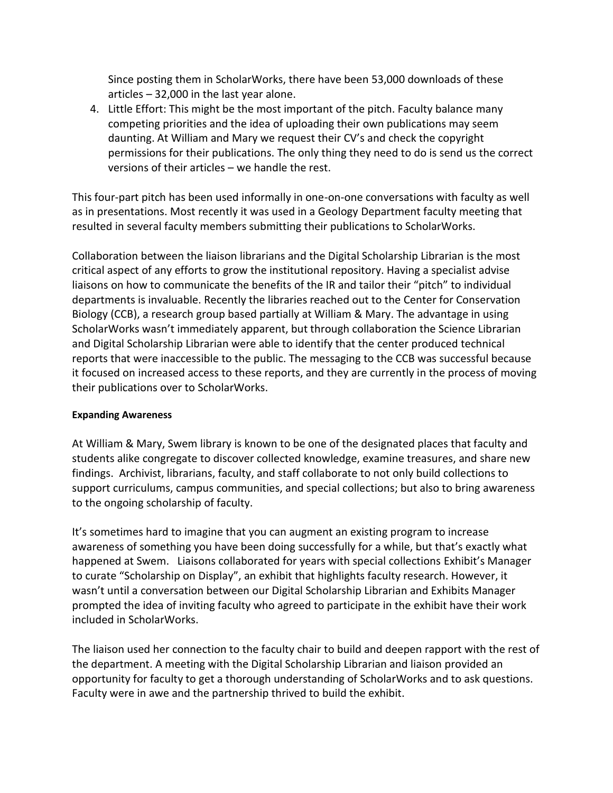Since posting them in ScholarWorks, there have been 53,000 downloads of these articles – 32,000 in the last year alone.

4. Little Effort: This might be the most important of the pitch. Faculty balance many competing priorities and the idea of uploading their own publications may seem daunting. At William and Mary we request their CV's and check the copyright permissions for their publications. The only thing they need to do is send us the correct versions of their articles – we handle the rest.

This four-part pitch has been used informally in one-on-one conversations with faculty as well as in presentations. Most recently it was used in a Geology Department faculty meeting that resulted in several faculty members submitting their publications to ScholarWorks.

Collaboration between the liaison librarians and the Digital Scholarship Librarian is the most critical aspect of any efforts to grow the institutional repository. Having a specialist advise liaisons on how to communicate the benefits of the IR and tailor their "pitch" to individual departments is invaluable. Recently the libraries reached out to the Center for Conservation Biology (CCB), a research group based partially at William & Mary. The advantage in using ScholarWorks wasn't immediately apparent, but through collaboration the Science Librarian and Digital Scholarship Librarian were able to identify that the center produced technical reports that were inaccessible to the public. The messaging to the CCB was successful because it focused on increased access to these reports, and they are currently in the process of moving their publications over to ScholarWorks.

# **Expanding Awareness**

At William & Mary, Swem library is known to be one of the designated places that faculty and students alike congregate to discover collected knowledge, examine treasures, and share new findings. Archivist, librarians, faculty, and staff collaborate to not only build collections to support curriculums, campus communities, and special collections; but also to bring awareness to the ongoing scholarship of faculty.

It's sometimes hard to imagine that you can augment an existing program to increase awareness of something you have been doing successfully for a while, but that's exactly what happened at Swem. Liaisons collaborated for years with special collections Exhibit's Manager to curate "Scholarship on Display", an exhibit that highlights faculty research. However, it wasn't until a conversation between our Digital Scholarship Librarian and Exhibits Manager prompted the idea of inviting faculty who agreed to participate in the exhibit have their work included in ScholarWorks.

The liaison used her connection to the faculty chair to build and deepen rapport with the rest of the department. A meeting with the Digital Scholarship Librarian and liaison provided an opportunity for faculty to get a thorough understanding of ScholarWorks and to ask questions. Faculty were in awe and the partnership thrived to build the exhibit.